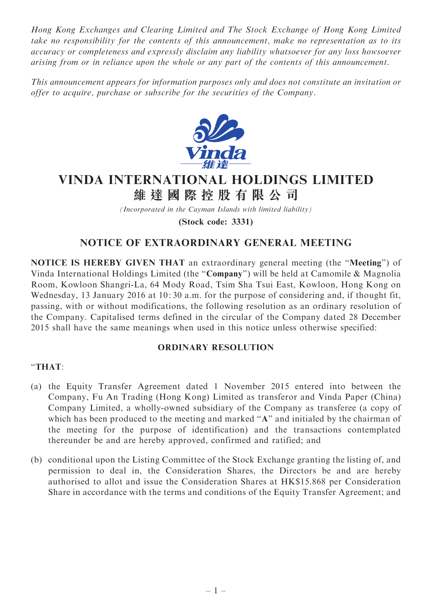Hong Kong Exchanges and Clearing Limited and The Stock Exchange of Hong Kong Limited take no responsibility for the contents of this announcement, make no representation as to its accuracy or completeness and expressly disclaim any liability whatsoever for any loss howsoever arising from or in reliance upon the whole or any part of the contents of this announcement.

This announcement appears for information purposes only and does not constitute an invitation or offer to acquire, purchase or subscribe for the securities of the Company.



## VINDA INTERNATIONAL HOLDINGS LIMITED

維 達 國 際 控 股 有 限 公 司

(Incorporated in the Cayman Islands with limited liability)

(Stock code: 3331)

## NOTICE OF EXTRAORDINARY GENERAL MEETING

NOTICE IS HEREBY GIVEN THAT an extraordinary general meeting (the ''Meeting'') of Vinda International Holdings Limited (the ''Company'') will be held at Camomile & Magnolia Room, Kowloon Shangri-La, 64 Mody Road, Tsim Sha Tsui East, Kowloon, Hong Kong on Wednesday, 13 January 2016 at 10: 30 a.m. for the purpose of considering and, if thought fit, passing, with or without modifications, the following resolution as an ordinary resolution of the Company. Capitalised terms defined in the circular of the Company dated 28 December 2015 shall have the same meanings when used in this notice unless otherwise specified:

## ORDINARY RESOLUTION

## ''THAT:

- (a) the Equity Transfer Agreement dated 1 November 2015 entered into between the Company, Fu An Trading (Hong Kong) Limited as transferor and Vinda Paper (China) Company Limited, a wholly-owned subsidiary of the Company as transferee (a copy of which has been produced to the meeting and marked "A" and initialed by the chairman of the meeting for the purpose of identification) and the transactions contemplated thereunder be and are hereby approved, confirmed and ratified; and
- (b) conditional upon the Listing Committee of the Stock Exchange granting the listing of, and permission to deal in, the Consideration Shares, the Directors be and are hereby authorised to allot and issue the Consideration Shares at HK\$15.868 per Consideration Share in accordance with the terms and conditions of the Equity Transfer Agreement; and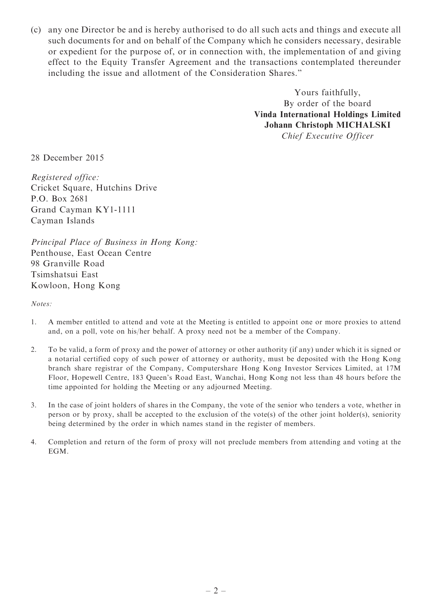(c) any one Director be and is hereby authorised to do all such acts and things and execute all such documents for and on behalf of the Company which he considers necessary, desirable or expedient for the purpose of, or in connection with, the implementation of and giving effect to the Equity Transfer Agreement and the transactions contemplated thereunder including the issue and allotment of the Consideration Shares.''

> Yours faithfully, By order of the board Vinda International Holdings Limited Johann Christoph MICHALSKI Chief Executive Officer

28 December 2015

Registered office: Cricket Square, Hutchins Drive P.O. Box 2681 Grand Cayman KY1-1111 Cayman Islands

Principal Place of Business in Hong Kong: Penthouse, East Ocean Centre 98 Granville Road Tsimshatsui East Kowloon, Hong Kong

Notes:

- 1. A member entitled to attend and vote at the Meeting is entitled to appoint one or more proxies to attend and, on a poll, vote on his/her behalf. A proxy need not be a member of the Company.
- 2. To be valid, a form of proxy and the power of attorney or other authority (if any) under which it is signed or a notarial certified copy of such power of attorney or authority, must be deposited with the Hong Kong branch share registrar of the Company, Computershare Hong Kong Investor Services Limited, at 17M Floor, Hopewell Centre, 183 Queen's Road East, Wanchai, Hong Kong not less than 48 hours before the time appointed for holding the Meeting or any adjourned Meeting.
- 3. In the case of joint holders of shares in the Company, the vote of the senior who tenders a vote, whether in person or by proxy, shall be accepted to the exclusion of the vote(s) of the other joint holder(s), seniority being determined by the order in which names stand in the register of members.
- 4. Completion and return of the form of proxy will not preclude members from attending and voting at the EGM.